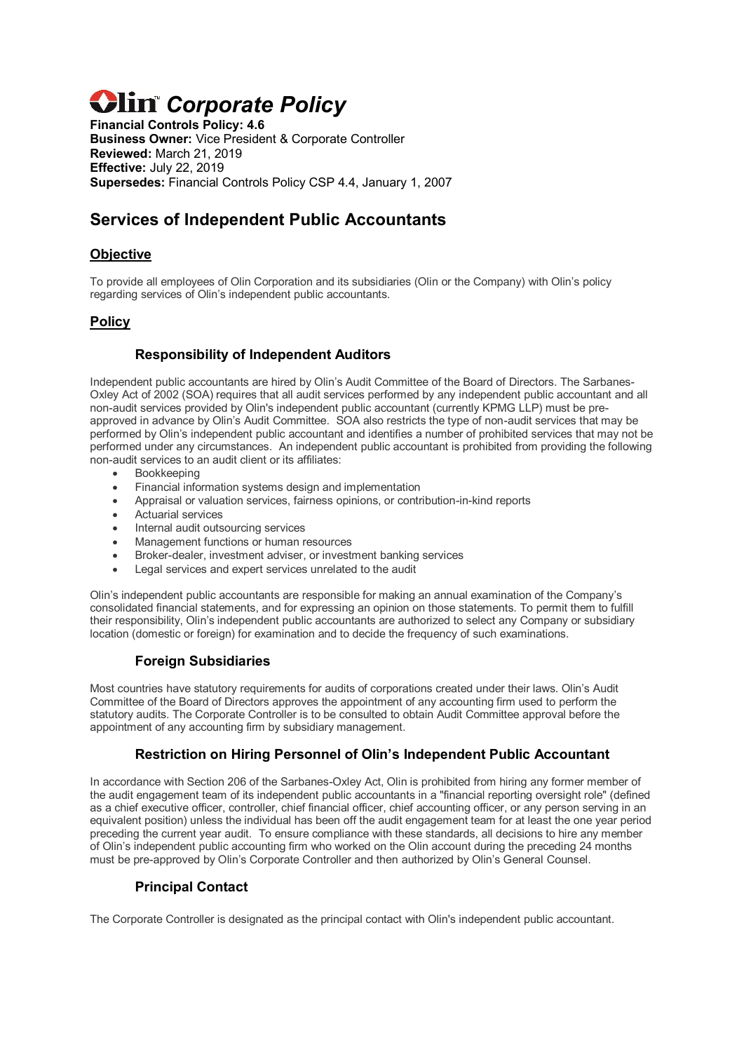# *Clin<sup>c</sup> Corporate Policy*

**Financial Controls Policy: 4.6 Business Owner:** Vice President & Corporate Controller **Reviewed:** March 21, 2019 **Effective:** July 22, 2019 **Supersedes:** Financial Controls Policy CSP 4.4, January 1, 2007

# **Services of Independent Public Accountants**

# **Objective**

To provide all employees of Olin Corporation and its subsidiaries (Olin or the Company) with Olin's policy regarding services of Olin's independent public accountants.

# **Policy**

# **Responsibility of Independent Auditors**

Independent public accountants are hired by Olin's Audit Committee of the Board of Directors. The Sarbanes-Oxley Act of 2002 (SOA) requires that all audit services performed by any independent public accountant and all non-audit services provided by Olin's independent public accountant (currently KPMG LLP) must be preapproved in advance by Olin's Audit Committee. SOA also restricts the type of non-audit services that may be performed by Olin's independent public accountant and identifies a number of prohibited services that may not be performed under any circumstances. An independent public accountant is prohibited from providing the following non-audit services to an audit client or its affiliates:

- **Bookkeeping**
- Financial information systems design and implementation
- Appraisal or valuation services, fairness opinions, or contribution-in-kind reports
- Actuarial services
- Internal audit outsourcing services
- Management functions or human resources
- Broker-dealer, investment adviser, or investment banking services
- Legal services and expert services unrelated to the audit

Olin's independent public accountants are responsible for making an annual examination of the Company's consolidated financial statements, and for expressing an opinion on those statements. To permit them to fulfill their responsibility, Olin's independent public accountants are authorized to select any Company or subsidiary location (domestic or foreign) for examination and to decide the frequency of such examinations.

## **Foreign Subsidiaries**

Most countries have statutory requirements for audits of corporations created under their laws. Olin's Audit Committee of the Board of Directors approves the appointment of any accounting firm used to perform the statutory audits. The Corporate Controller is to be consulted to obtain Audit Committee approval before the appointment of any accounting firm by subsidiary management.

# **Restriction on Hiring Personnel of Olin's Independent Public Accountant**

In accordance with Section 206 of the Sarbanes-Oxley Act, Olin is prohibited from hiring any former member of the audit engagement team of its independent public accountants in a "financial reporting oversight role" (defined as a chief executive officer, controller, chief financial officer, chief accounting officer, or any person serving in an equivalent position) unless the individual has been off the audit engagement team for at least the one year period preceding the current year audit. To ensure compliance with these standards, all decisions to hire any member of Olin's independent public accounting firm who worked on the Olin account during the preceding 24 months must be pre-approved by Olin's Corporate Controller and then authorized by Olin's General Counsel.

## **Principal Contact**

The Corporate Controller is designated as the principal contact with Olin's independent public accountant.